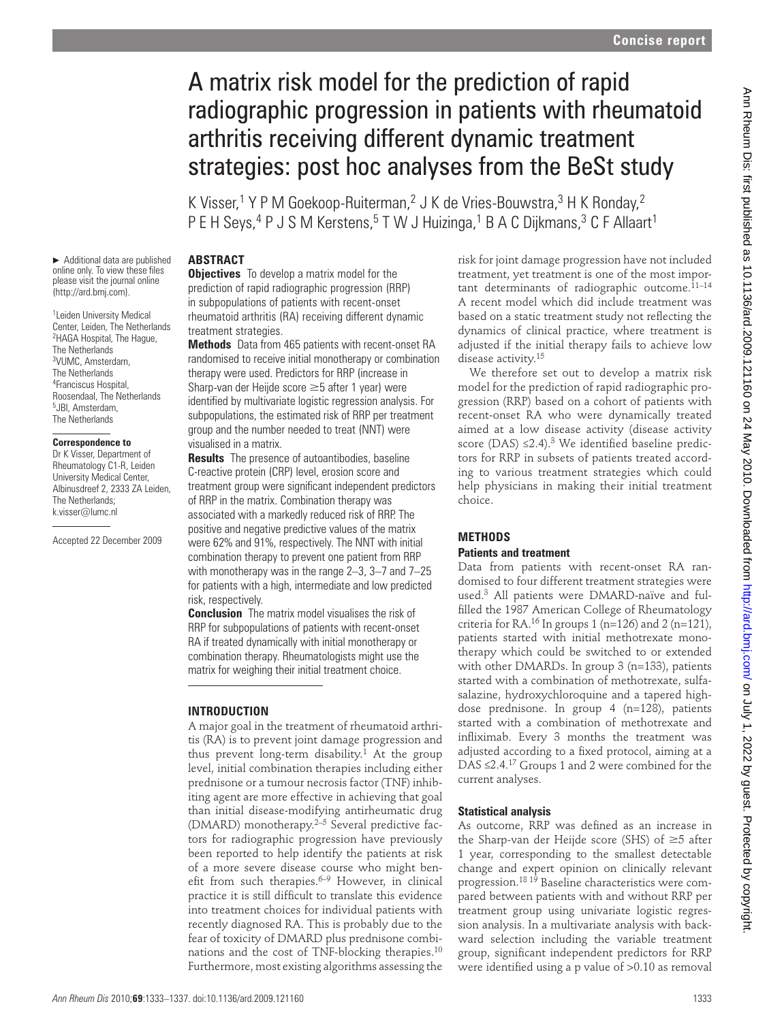# A matrix risk model for the prediction of rapid radiographic progression in patients with rheumatoid arthritis receiving different dynamic treatment strategies: post hoc analyses from the BeSt study

K Visser,<sup>1</sup> Y P M Goekoop-Ruiterman,<sup>2</sup> J K de Vries-Bouwstra,<sup>3</sup> H K Ronday,<sup>2</sup> P E H Seys,<sup>4</sup> P J S M Kerstens,<sup>5</sup> T W J Huizinga,<sup>1</sup> B A C Dijkmans,<sup>3</sup> C F Allaart<sup>1</sup>

# **ABSTRACT**

**Objectives** To develop a matrix model for the prediction of rapid radiographic progression (RRP) in subpopulations of patients with recent-onset rheumatoid arthritis (RA) receiving different dynamic treatment strategies.

**Methods** Data from 465 patients with recent-onset RA randomised to receive initial monotherapy or combination therapy were used. Predictors for RRP (increase in Sharp-van der Heijde score ≥5 after 1 year) were identified by multivariate logistic regression analysis. For subpopulations, the estimated risk of RRP per treatment group and the number needed to treat (NNT) were visualised in a matrix.

**Results** The presence of autoantibodies, baseline C-reactive protein (CRP) level, erosion score and treatment group were significant independent predictors of RRP in the matrix. Combination therapy was associated with a markedly reduced risk of RRP. The positive and negative predictive values of the matrix were 62% and 91%, respectively. The NNT with initial combination therapy to prevent one patient from RRP with monotherapy was in the range 2–3, 3–7 and 7–25 for patients with a high, intermediate and low predicted risk, respectively.

**Conclusion** The matrix model visualises the risk of RRP for subpopulations of patients with recent-onset RA if treated dynamically with initial monotherapy or combination therapy. Rheumatologists might use the matrix for weighing their initial treatment choice.

# **INTRODUCTION**

A major goal in the treatment of rheumatoid arthritis (RA) is to prevent joint damage progression and thus prevent long-term disability.<sup>1</sup> At the group level, initial combination therapies including either prednisone or a tumour necrosis factor (TNF) inhibiting agent are more effective in achieving that goal than initial disease-modifying antirheumatic drug (DMARD) monotherapy.2–5 Several predictive factors for radiographic progression have previously been reported to help identify the patients at risk of a more severe disease course who might benefit from such therapies.<sup>6–9</sup> However, in clinical practice it is still difficult to translate this evidence into treatment choices for individual patients with recently diagnosed RA. This is probably due to the fear of toxicity of DMARD plus prednisone combinations and the cost of TNF-blocking therapies.<sup>10</sup> Furthermore, most existing algorithms assessing the 16.1. The control of the control of the control of the control of the control of the control of the control of the control of the control of the control of the control of the control of the control of the control of the

risk for joint damage progression have not included treatment, yet treatment is one of the most important determinants of radiographic outcome. $11-14$ A recent model which did include treatment was based on a static treatment study not reflecting the dynamics of clinical practice, where treatment is adjusted if the initial therapy fails to achieve low disease activity.<sup>15</sup>

We therefore set out to develop a matrix risk model for the prediction of rapid radiographic progression (RRP) based on a cohort of patients with recent-onset RA who were dynamically treated aimed at a low disease activity (disease activity score (DAS)  $\leq$ 2.4).<sup>3</sup> We identified baseline predictors for RRP in subsets of patients treated according to various treatment strategies which could help physicians in making their initial treatment choice.

# **METHODS Patients and treatment**

Data from patients with recent-onset RA randomised to four different treatment strategies were used.3 All patients were DMARD-naïve and fulfilled the 1987 American College of Rheumatology criteria for RA.<sup>16</sup> In groups 1 (n=126) and 2 (n=121), patients started with initial methotrexate monotherapy which could be switched to or extended with other DMARDs. In group 3 (n=133), patients started with a combination of methotrexate, sulfasalazine, hydroxychloroquine and a tapered highdose prednisone. In group 4 (n=128), patients started with a combination of methotrexate and infliximab. Every 3 months the treatment was adjusted according to a fixed protocol, aiming at a DAS  $\leq$ 2.4.<sup>17</sup> Groups 1 and 2 were combined for the current analyses.

# **Statistical analysis**

As outcome, RRP was defined as an increase in the Sharp-van der Heijde score (SHS) of ≥5 after 1 year, corresponding to the smallest detectable change and expert opinion on clinically relevant progression.18 19 Baseline characteristics were compared between patients with and without RRP per treatment group using univariate logistic regression analysis. In a multivariate analysis with backward selection including the variable treatment group, significant independent predictors for RRP were identified using a p value of  $>0.10$  as removal

▶ Additional data are published online only. To view these files please visit the journal online (http://ard.bmj.com).

1 Leiden University Medical Center, Leiden, The Netherlands 2 HAGA Hospital, The Hague, The Netherlands 3 VUMC, Amsterdam, The Netherlands 4 Franciscus Hospital, Roosendaal, The Netherlands 5 JBI, Amsterdam, The Netherlands

## **Correspondence to**

Dr K Visser, Department of Rheumatology C1-R, Leiden University Medical Center, Albinusdreef 2, 2333 ZA Leiden, The Netherlands; k.visser@lumc.nl

Accepted 22 December 2009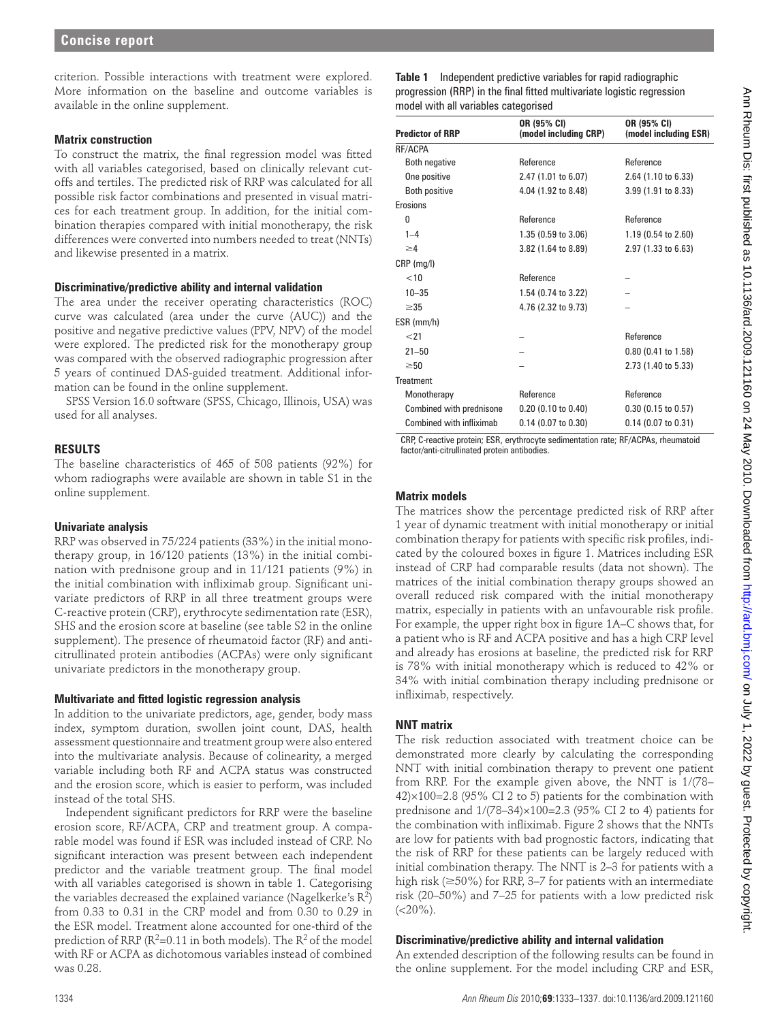criterion. Possible interactions with treatment were explored. More information on the baseline and outcome variables is available in the online supplement.

#### **Matrix construction**

## **Discriminative/predictive ability and internal validation**

# **RESULTS**

## **Univariate analysis**

## **Multivariate and fitted logistic regression analysis**

**Table 1** Independent predictive variables for rapid radiographic progression (RRP) in the final fitted multivariate logistic regression model with all variables categorised

|                                                                                                                                                                                                                                                                                                                                                                                                                                                                                                                                                                                               |                                                                                                                                                                                                                                                                                                                                                                                                                                                                                                                                                                                                                                                                          | OR (95% CI)                                | OR (95% CI)                                |
|-----------------------------------------------------------------------------------------------------------------------------------------------------------------------------------------------------------------------------------------------------------------------------------------------------------------------------------------------------------------------------------------------------------------------------------------------------------------------------------------------------------------------------------------------------------------------------------------------|--------------------------------------------------------------------------------------------------------------------------------------------------------------------------------------------------------------------------------------------------------------------------------------------------------------------------------------------------------------------------------------------------------------------------------------------------------------------------------------------------------------------------------------------------------------------------------------------------------------------------------------------------------------------------|--------------------------------------------|--------------------------------------------|
| <b>Matrix construction</b>                                                                                                                                                                                                                                                                                                                                                                                                                                                                                                                                                                    | <b>Predictor of RRP</b>                                                                                                                                                                                                                                                                                                                                                                                                                                                                                                                                                                                                                                                  | (model including CRP)                      | (model including ESR)                      |
| To construct the matrix, the final regression model was fitted                                                                                                                                                                                                                                                                                                                                                                                                                                                                                                                                | RF/ACPA                                                                                                                                                                                                                                                                                                                                                                                                                                                                                                                                                                                                                                                                  |                                            |                                            |
| with all variables categorised, based on clinically relevant cut-                                                                                                                                                                                                                                                                                                                                                                                                                                                                                                                             | Both negative                                                                                                                                                                                                                                                                                                                                                                                                                                                                                                                                                                                                                                                            | Reference                                  | Reference                                  |
| offs and tertiles. The predicted risk of RRP was calculated for all                                                                                                                                                                                                                                                                                                                                                                                                                                                                                                                           | One positive<br>Both positive                                                                                                                                                                                                                                                                                                                                                                                                                                                                                                                                                                                                                                            | 2.47 (1.01 to 6.07)<br>4.04 (1.92 to 8.48) | 2.64 (1.10 to 6.33)<br>3.99 (1.91 to 8.33) |
| possible risk factor combinations and presented in visual matri-                                                                                                                                                                                                                                                                                                                                                                                                                                                                                                                              |                                                                                                                                                                                                                                                                                                                                                                                                                                                                                                                                                                                                                                                                          |                                            |                                            |
| ces for each treatment group. In addition, for the initial com-                                                                                                                                                                                                                                                                                                                                                                                                                                                                                                                               | Erosions                                                                                                                                                                                                                                                                                                                                                                                                                                                                                                                                                                                                                                                                 |                                            |                                            |
| bination therapies compared with initial monotherapy, the risk                                                                                                                                                                                                                                                                                                                                                                                                                                                                                                                                | 0                                                                                                                                                                                                                                                                                                                                                                                                                                                                                                                                                                                                                                                                        | Reference                                  | Reference                                  |
| differences were converted into numbers needed to treat (NNTs)                                                                                                                                                                                                                                                                                                                                                                                                                                                                                                                                | $1 - 4$                                                                                                                                                                                                                                                                                                                                                                                                                                                                                                                                                                                                                                                                  | 1.35 (0.59 to 3.06)                        | 1.19 (0.54 to 2.60)                        |
| and likewise presented in a matrix.                                                                                                                                                                                                                                                                                                                                                                                                                                                                                                                                                           | $\geq 4$                                                                                                                                                                                                                                                                                                                                                                                                                                                                                                                                                                                                                                                                 | 3.82 (1.64 to 8.89)                        | 2.97 (1.33 to 6.63)                        |
|                                                                                                                                                                                                                                                                                                                                                                                                                                                                                                                                                                                               | CRP (mg/l)                                                                                                                                                                                                                                                                                                                                                                                                                                                                                                                                                                                                                                                               |                                            |                                            |
| Discriminative/predictive ability and internal validation                                                                                                                                                                                                                                                                                                                                                                                                                                                                                                                                     | $<$ 10                                                                                                                                                                                                                                                                                                                                                                                                                                                                                                                                                                                                                                                                   | Reference                                  |                                            |
| The area under the receiver operating characteristics (ROC)                                                                                                                                                                                                                                                                                                                                                                                                                                                                                                                                   | $10 - 35$                                                                                                                                                                                                                                                                                                                                                                                                                                                                                                                                                                                                                                                                | 1.54 (0.74 to 3.22)                        |                                            |
| curve was calculated (area under the curve (AUC)) and the                                                                                                                                                                                                                                                                                                                                                                                                                                                                                                                                     | $\geq$ 35                                                                                                                                                                                                                                                                                                                                                                                                                                                                                                                                                                                                                                                                | 4.76 (2.32 to 9.73)                        |                                            |
| positive and negative predictive values (PPV, NPV) of the model                                                                                                                                                                                                                                                                                                                                                                                                                                                                                                                               | ESR (mm/h)                                                                                                                                                                                                                                                                                                                                                                                                                                                                                                                                                                                                                                                               |                                            |                                            |
| were explored. The predicted risk for the monotherapy group                                                                                                                                                                                                                                                                                                                                                                                                                                                                                                                                   | $<$ 21                                                                                                                                                                                                                                                                                                                                                                                                                                                                                                                                                                                                                                                                   |                                            | Reference                                  |
| was compared with the observed radiographic progression after                                                                                                                                                                                                                                                                                                                                                                                                                                                                                                                                 | $21 - 50$                                                                                                                                                                                                                                                                                                                                                                                                                                                                                                                                                                                                                                                                |                                            | $0.80$ (0.41 to 1.58)                      |
| 5 years of continued DAS-guided treatment. Additional infor-                                                                                                                                                                                                                                                                                                                                                                                                                                                                                                                                  | ${\geq}50$                                                                                                                                                                                                                                                                                                                                                                                                                                                                                                                                                                                                                                                               |                                            | 2.73 (1.40 to 5.33)                        |
| mation can be found in the online supplement.                                                                                                                                                                                                                                                                                                                                                                                                                                                                                                                                                 | <b>Treatment</b>                                                                                                                                                                                                                                                                                                                                                                                                                                                                                                                                                                                                                                                         |                                            |                                            |
| SPSS Version 16.0 software (SPSS, Chicago, Illinois, USA) was                                                                                                                                                                                                                                                                                                                                                                                                                                                                                                                                 | Monotherapy                                                                                                                                                                                                                                                                                                                                                                                                                                                                                                                                                                                                                                                              | Reference                                  | Reference                                  |
| used for all analyses.                                                                                                                                                                                                                                                                                                                                                                                                                                                                                                                                                                        | Combined with prednisone                                                                                                                                                                                                                                                                                                                                                                                                                                                                                                                                                                                                                                                 | $0.20$ (0.10 to 0.40)                      | 0.30 (0.15 to 0.57)                        |
|                                                                                                                                                                                                                                                                                                                                                                                                                                                                                                                                                                                               | Combined with infliximab                                                                                                                                                                                                                                                                                                                                                                                                                                                                                                                                                                                                                                                 | $0.14$ (0.07 to 0.30)                      | 0.14 (0.07 to 0.31)                        |
|                                                                                                                                                                                                                                                                                                                                                                                                                                                                                                                                                                                               | CRP, C-reactive protein; ESR, erythrocyte sedimentation rate; RF/ACPAs, rheumatoid                                                                                                                                                                                                                                                                                                                                                                                                                                                                                                                                                                                       |                                            |                                            |
| <b>RESULTS</b>                                                                                                                                                                                                                                                                                                                                                                                                                                                                                                                                                                                | factor/anti-citrullinated protein antibodies.                                                                                                                                                                                                                                                                                                                                                                                                                                                                                                                                                                                                                            |                                            |                                            |
| The baseline characteristics of 465 of 508 patients (92%) for<br>whom radiographs were available are shown in table S1 in the                                                                                                                                                                                                                                                                                                                                                                                                                                                                 |                                                                                                                                                                                                                                                                                                                                                                                                                                                                                                                                                                                                                                                                          |                                            |                                            |
| online supplement.                                                                                                                                                                                                                                                                                                                                                                                                                                                                                                                                                                            | <b>Matrix models</b>                                                                                                                                                                                                                                                                                                                                                                                                                                                                                                                                                                                                                                                     |                                            |                                            |
|                                                                                                                                                                                                                                                                                                                                                                                                                                                                                                                                                                                               | The matrices show the percentage predicted risk of RRP after                                                                                                                                                                                                                                                                                                                                                                                                                                                                                                                                                                                                             |                                            |                                            |
|                                                                                                                                                                                                                                                                                                                                                                                                                                                                                                                                                                                               |                                                                                                                                                                                                                                                                                                                                                                                                                                                                                                                                                                                                                                                                          |                                            |                                            |
| <b>Univariate analysis</b>                                                                                                                                                                                                                                                                                                                                                                                                                                                                                                                                                                    | 1 year of dynamic treatment with initial monotherapy or initial<br>combination therapy for patients with specific risk profiles, indi-                                                                                                                                                                                                                                                                                                                                                                                                                                                                                                                                   |                                            |                                            |
|                                                                                                                                                                                                                                                                                                                                                                                                                                                                                                                                                                                               |                                                                                                                                                                                                                                                                                                                                                                                                                                                                                                                                                                                                                                                                          |                                            |                                            |
| RRP was observed in 75/224 patients (33%) in the initial mono-                                                                                                                                                                                                                                                                                                                                                                                                                                                                                                                                |                                                                                                                                                                                                                                                                                                                                                                                                                                                                                                                                                                                                                                                                          |                                            |                                            |
| therapy group, in 16/120 patients (13%) in the initial combi-<br>nation with prednisone group and in 11/121 patients (9%) in<br>the initial combination with infliximab group. Significant uni-<br>variate predictors of RRP in all three treatment groups were<br>C-reactive protein (CRP), erythrocyte sedimentation rate (ESR),<br>SHS and the erosion score at baseline (see table S2 in the online<br>supplement). The presence of rheumatoid factor (RF) and anti-<br>citrullinated protein antibodies (ACPAs) were only significant<br>univariate predictors in the monotherapy group. | cated by the coloured boxes in figure 1. Matrices including ESR<br>instead of CRP had comparable results (data not shown). The<br>matrices of the initial combination therapy groups showed an<br>overall reduced risk compared with the initial monotherapy<br>matrix, especially in patients with an unfavourable risk profile.<br>For example, the upper right box in figure 1A-C shows that, for<br>a patient who is RF and ACPA positive and has a high CRP level<br>and already has erosions at baseline, the predicted risk for RRP<br>is 78% with initial monotherapy which is reduced to 42% or<br>34% with initial combination therapy including prednisone or |                                            |                                            |
|                                                                                                                                                                                                                                                                                                                                                                                                                                                                                                                                                                                               | infliximab, respectively.                                                                                                                                                                                                                                                                                                                                                                                                                                                                                                                                                                                                                                                |                                            |                                            |
| Multivariate and fitted logistic regression analysis                                                                                                                                                                                                                                                                                                                                                                                                                                                                                                                                          |                                                                                                                                                                                                                                                                                                                                                                                                                                                                                                                                                                                                                                                                          |                                            |                                            |
| In addition to the univariate predictors, age, gender, body mass<br>index, symptom duration, swollen joint count, DAS, health                                                                                                                                                                                                                                                                                                                                                                                                                                                                 | <b>NNT</b> matrix                                                                                                                                                                                                                                                                                                                                                                                                                                                                                                                                                                                                                                                        |                                            |                                            |
| assessment questionnaire and treatment group were also entered                                                                                                                                                                                                                                                                                                                                                                                                                                                                                                                                | The risk reduction associated with treatment choice can be                                                                                                                                                                                                                                                                                                                                                                                                                                                                                                                                                                                                               |                                            |                                            |
| into the multivariate analysis. Because of colinearity, a merged<br>variable including both RF and ACPA status was constructed<br>and the erosion score, which is easier to perform, was included<br>instead of the total SHS.<br>Independent significant predictors for RRP were the baseline                                                                                                                                                                                                                                                                                                | demonstrated more clearly by calculating the corresponding<br>NNT with initial combination therapy to prevent one patient<br>from RRP. For the example given above, the NNT is 1/(78-<br>$42 \times 100 = 2.8$ (95% CI 2 to 5) patients for the combination with<br>prednisone and $1/(78-34)\times100=2.3$ (95% CI 2 to 4) patients for                                                                                                                                                                                                                                                                                                                                 |                                            |                                            |
|                                                                                                                                                                                                                                                                                                                                                                                                                                                                                                                                                                                               | the combination with infliximab. Figure 2 shows that the NNTs<br>are low for patients with bad prognostic factors, indicating that                                                                                                                                                                                                                                                                                                                                                                                                                                                                                                                                       |                                            |                                            |
|                                                                                                                                                                                                                                                                                                                                                                                                                                                                                                                                                                                               | the risk of RRP for these patients can be largely reduced with                                                                                                                                                                                                                                                                                                                                                                                                                                                                                                                                                                                                           |                                            |                                            |
|                                                                                                                                                                                                                                                                                                                                                                                                                                                                                                                                                                                               | initial combination therapy. The NNT is 2-3 for patients with a                                                                                                                                                                                                                                                                                                                                                                                                                                                                                                                                                                                                          |                                            |                                            |
| erosion score, RF/ACPA, CRP and treatment group. A compa-<br>rable model was found if ESR was included instead of CRP. No<br>significant interaction was present between each independent<br>predictor and the variable treatment group. The final model<br>with all variables categorised is shown in table 1. Categorising                                                                                                                                                                                                                                                                  | high risk ( $\geq$ 50%) for RRP, 3–7 for patients with an intermediate                                                                                                                                                                                                                                                                                                                                                                                                                                                                                                                                                                                                   |                                            |                                            |
|                                                                                                                                                                                                                                                                                                                                                                                                                                                                                                                                                                                               | risk (20-50%) and 7-25 for patients with a low predicted risk                                                                                                                                                                                                                                                                                                                                                                                                                                                                                                                                                                                                            |                                            |                                            |
|                                                                                                                                                                                                                                                                                                                                                                                                                                                                                                                                                                                               | $(<20\%)$ .                                                                                                                                                                                                                                                                                                                                                                                                                                                                                                                                                                                                                                                              |                                            |                                            |
|                                                                                                                                                                                                                                                                                                                                                                                                                                                                                                                                                                                               |                                                                                                                                                                                                                                                                                                                                                                                                                                                                                                                                                                                                                                                                          |                                            |                                            |
| the variables decreased the explained variance (Nagelkerke's $\mathbb{R}^2$ )<br>from 0.33 to 0.31 in the CRP model and from 0.30 to 0.29 in<br>the ESR model. Treatment alone accounted for one-third of the<br>prediction of RRP ( $R^2$ =0.11 in both models). The $R^2$ of the model                                                                                                                                                                                                                                                                                                      | Discriminative/predictive ability and internal validation                                                                                                                                                                                                                                                                                                                                                                                                                                                                                                                                                                                                                |                                            |                                            |
|                                                                                                                                                                                                                                                                                                                                                                                                                                                                                                                                                                                               | An extended description of the following results can be found in                                                                                                                                                                                                                                                                                                                                                                                                                                                                                                                                                                                                         |                                            |                                            |
| with RF or ACPA as dichotomous variables instead of combined<br>was 0.28.                                                                                                                                                                                                                                                                                                                                                                                                                                                                                                                     | the online supplement. For the model including CRP and ESR,                                                                                                                                                                                                                                                                                                                                                                                                                                                                                                                                                                                                              |                                            |                                            |

# **Matrix models**

## **NNT matrix**

## **Discriminative/predictive ability and internal validation**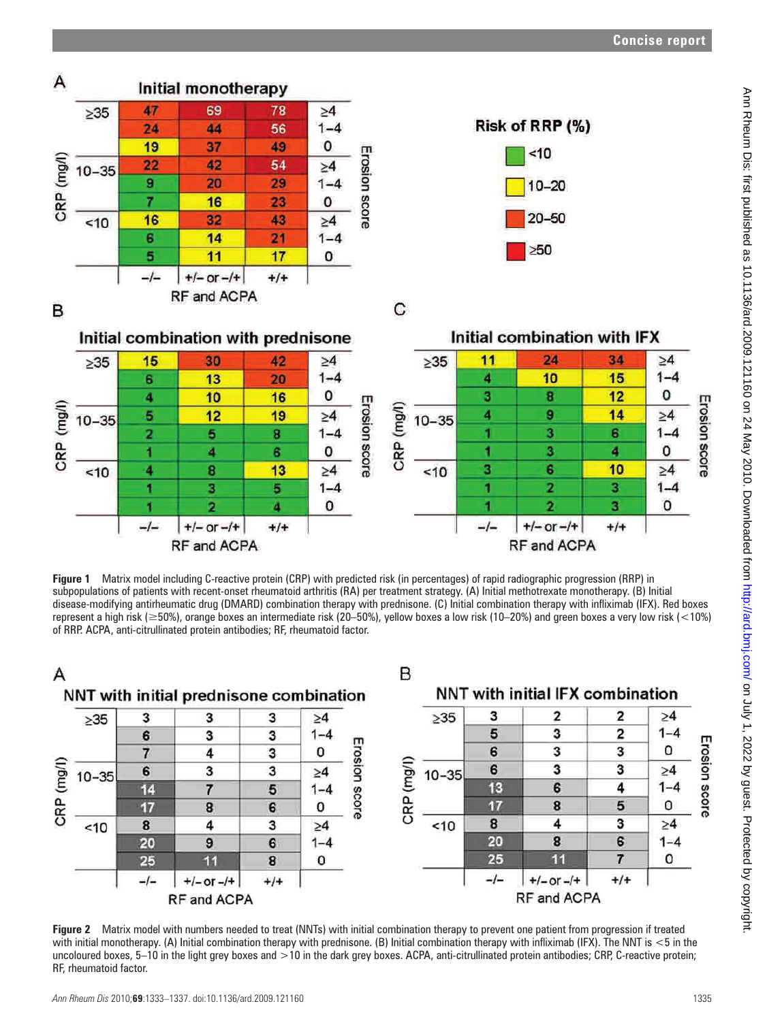А



**Figure 1** Matrix model including C-reactive protein (CRP) with predicted risk (in percentages) of rapid radiographic progression (RRP) in subpopulations of patients with recent-onset rheumatoid arthritis (RA) per treatment strategy. (A) Initial methotrexate monotherapy. (B) Initial disease-modifying antirheumatic drug (DMARD) combination therapy with prednisone. (C) Initial combination therapy with infliximab (IFX). Red boxes represent a high risk (≥50%), orange boxes an intermediate risk (20–50%), yellow boxes a low risk (10–20%) and green boxes a very low risk (<10%) of RRP. ACPA, anti-citrullinated protein antibodies; RF, rheumatoid factor.



**Figure 2** Matrix model with numbers needed to treat (NNTs) with initial combination therapy to prevent one patient from progression if treated with initial monotherapy. (A) Initial combination therapy with prednisone. (B) Initial combination therapy with infliximab (IFX). The NNT is  $<$  5 in the uncoloured boxes, 5–10 in the light grey boxes and >10 in the dark grey boxes. ACPA, anti-citrullinated protein antibodies; CRP, C-reactive protein; RF, rheumatoid factor.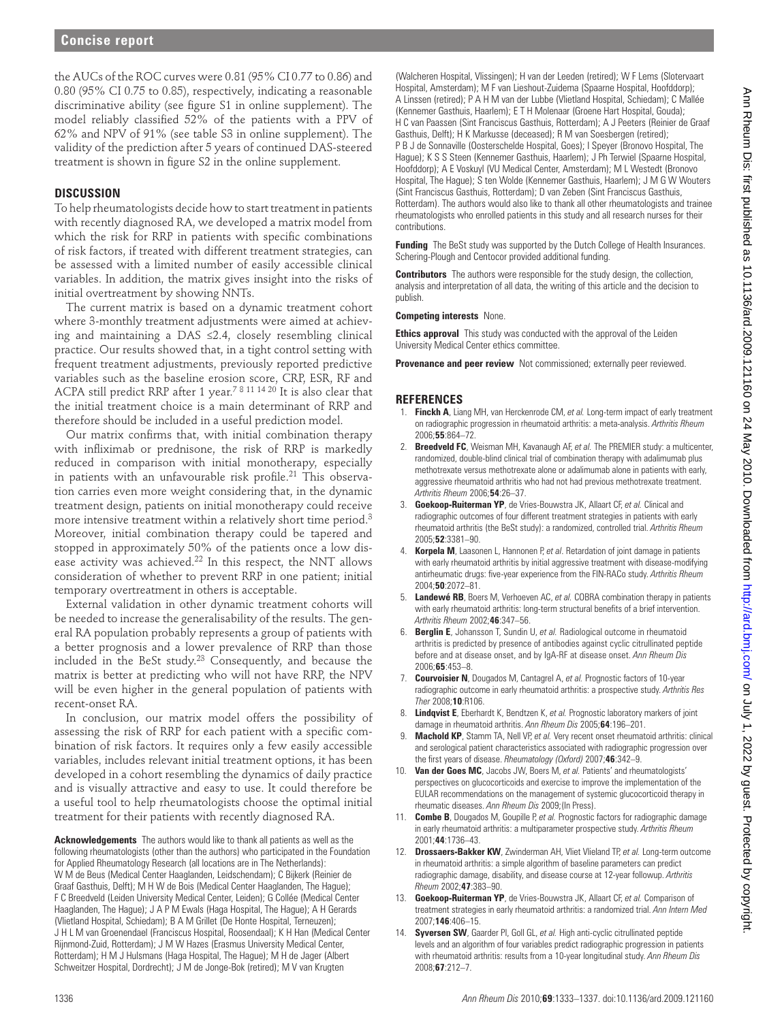the AUCs of the ROC curves were 0.81 (95% CI 0.77 to 0.86) and 0.80 (95% CI 0.75 to 0.85), respectively, indicating a reasonable discriminative ability (see figure S1 in online supplement). The model reliably classified 52% of the patients with a PPV of 62% and NPV of 91% (see table S3 in online supplement). The validity of the prediction after 5 years of continued DAS-steered treatment is shown in figure S2 in the online supplement.

# **DISCUSSION**

To help rheumatologists decide how to start treatment in patients with recently diagnosed RA, we developed a matrix model from which the risk for RRP in patients with specific combinations of risk factors, if treated with different treatment strategies, can be assessed with a limited number of easily accessible clinical variables. In addition, the matrix gives insight into the risks of initial overtreatment by showing NNTs.

The current matrix is based on a dynamic treatment cohort where 3-monthly treatment adjustments were aimed at achieving and maintaining a DAS ≤2.4, closely resembling clinical practice. Our results showed that, in a tight control setting with frequent treatment adjustments, previously reported predictive variables such as the baseline erosion score, CRP, ESR, RF and ACPA still predict RRP after 1 year.7 8 11 14 20 It is also clear that the initial treatment choice is a main determinant of RRP and therefore should be included in a useful prediction model.

Our matrix confirms that, with initial combination therapy with infliximab or prednisone, the risk of RRP is markedly reduced in comparison with initial monotherapy, especially in patients with an unfavourable risk profile.<sup>21</sup> This observation carries even more weight considering that, in the dynamic treatment design, patients on initial monotherapy could receive more intensive treatment within a relatively short time period.<sup>3</sup> Moreover, initial combination therapy could be tapered and stopped in approximately 50% of the patients once a low disease activity was achieved.22 In this respect, the NNT allows consideration of whether to prevent RRP in one patient; initial temporary overtreatment in others is acceptable. 16 and the company of the company of the company of the company of the company of the company of the company of the company of the company of the company of the company of the company of the company of the company of the

External validation in other dynamic treatment cohorts will be needed to increase the generalisability of the results. The general RA population probably represents a group of patients with a better prognosis and a lower prevalence of RRP than those included in the BeSt study.23 Consequently, and because the matrix is better at predicting who will not have RRP, the NPV will be even higher in the general population of patients with recent-onset RA.

In conclusion, our matrix model offers the possibility of assessing the risk of RRP for each patient with a specific combination of risk factors. It requires only a few easily accessible variables, includes relevant initial treatment options, it has been developed in a cohort resembling the dynamics of daily practice and is visually attractive and easy to use. It could therefore be a useful tool to help rheumatologists choose the optimal initial treatment for their patients with recently diagnosed RA.

**Acknowledgements** The authors would like to thank all patients as well as the following rheumatologists (other than the authors) who participated in the Foundation for Applied Rheumatology Research (all locations are in The Netherlands): W M de Beus (Medical Center Haaglanden, Leidschendam); C Bijkerk (Reinier de Graaf Gasthuis, Delft); M H W de Bois (Medical Center Haaglanden, The Hague); F C Breedveld (Leiden University Medical Center, Leiden); G Collée (Medical Center Haaglanden, The Hague); J A P M Ewals (Haga Hospital, The Hague); A H Gerards (Vlietland Hospital, Schiedam); B A M Grillet (De Honte Hospital, Terneuzen); J H L M van Groenendael (Franciscus Hospital, Roosendaal); K H Han (Medical Center Rijnmond-Zuid, Rotterdam); J M W Hazes (Erasmus University Medical Center, Rotterdam); H M J Hulsmans (Haga Hospital, The Hague); M H de Jager (Albert Schweitzer Hospital, Dordrecht); J M de Jonge-Bok (retired); M V van Krugten

(Walcheren Hospital, Vlissingen); H van der Leeden (retired); W F Lems (Slotervaart Hospital, Amsterdam); M F van Lieshout-Zuidema (Spaarne Hospital, Hoofddorp); A Linssen (retired); P A H M van der Lubbe (Vlietland Hospital, Schiedam); C Mallée (Kennemer Gasthuis, Haarlem); E T H Molenaar (Groene Hart Hospital, Gouda); H C van Paassen (Sint Franciscus Gasthuis, Rotterdam); A J Peeters (Reinier de Graaf Gasthuis, Delft); H K Markusse (deceased); R M van Soesbergen (retired); P B J de Sonnaville (Oosterschelde Hospital, Goes); I Speyer (Bronovo Hospital, The Hague); K S S Steen (Kennemer Gasthuis, Haarlem); J Ph Terwiel (Spaarne Hospital, Hoofddorp); A E Voskuyl (VU Medical Center, Amsterdam); M L Westedt (Bronovo Hospital, The Hague); S ten Wolde (Kennemer Gasthuis, Haarlem); J M G W Wouters (Sint Franciscus Gasthuis, Rotterdam); D van Zeben (Sint Franciscus Gasthuis, Rotterdam). The authors would also like to thank all other rheumatologists and trainee rheumatologists who enrolled patients in this study and all research nurses for their contributions.

**Funding** The BeSt study was supported by the Dutch College of Health Insurances. Schering-Plough and Centocor provided additional funding.

**Contributors** The authors were responsible for the study design, the collection, analysis and interpretation of all data, the writing of this article and the decision to publish.

**Competing interests** None.

**Ethics approval** This study was conducted with the approval of the Leiden University Medical Center ethics committee.

**Provenance and peer review** Not commissioned; externally peer reviewed.

## **REFERENCES**

- 1. **Finckh A**, Liang MH, van Herckenrode CM, *et al.* Long-term impact of early treatment on radiographic progression in rheumatoid arthritis: a meta-analysis. *Arthritis Rheum* 2006;**55**:864–72.
- 2. **Breedveld FC**, Weisman MH, Kavanaugh AF, *et al.* The PREMIER study: a multicenter, randomized, double-blind clinical trial of combination therapy with adalimumab plus methotrexate versus methotrexate alone or adalimumab alone in patients with early, aggressive rheumatoid arthritis who had not had previous methotrexate treatment. *Arthritis Rheum* 2006;**54**:26–37.
- 3. **Goekoop-Ruiterman YP**, de Vries-Bouwstra JK, Allaart CF, *et al.* Clinical and radiographic outcomes of four different treatment strategies in patients with early rheumatoid arthritis (the BeSt study): a randomized, controlled trial. *Arthritis Rheum* 2005;**52**:3381–90.
- 4. **Korpela M**, Laasonen L, Hannonen P, *et al*. Retardation of joint damage in patients with early rheumatoid arthritis by initial aggressive treatment with disease-modifying antirheumatic drugs: five-year experience from the FIN-RACo study. Arthritis Rheum 2004;**50**:2072–81.
- **Landewé RB**, Boers M, Verhoeven AC, et al. COBRA combination therapy in patients with early rheumatoid arthritis: long-term structural benefits of a brief intervention. *Arthritis Rheum* 2002;**46**:347–56.
- **Berglin E**, Johansson T, Sundin U, et al. Radiological outcome in rheumatoid arthritis is predicted by presence of antibodies against cyclic citrullinated peptide before and at disease onset, and by IgA-RF at disease onset. *Ann Rheum Dis* 2006;**65**:453–8.
- 7. **Courvoisier N**, Dougados M, Cantagrel A, *et al.* Prognostic factors of 10-year radiographic outcome in early rheumatoid arthritis: a prospective study. *Arthritis Res Ther* 2008;**10**:R106.
- 8. **Lindqvist E**, Eberhardt K, Bendtzen K, *et al.* Prognostic laboratory markers of joint damage in rheumatoid arthritis. *Ann Rheum Dis* 2005;**64**:196–201.
- 9. **Machold KP**, Stamm TA, Nell VP, *et al.* Very recent onset rheumatoid arthritis: clinical and serological patient characteristics associated with radiographic progression over the first years of disease. *Rheumatology (Oxford)* 2007;46:342-9.
- 10. **Van der Goes MC**, Jacobs JW, Boers M, *et al.* Patients' and rheumatologists' perspectives on glucocorticoids and exercise to improve the implementation of the EULAR recommendations on the management of systemic glucocorticoid therapy in rheumatic diseases. *Ann Rheum Dis* 2009;(In Press).
- 11. **Combe B**, Dougados M, Goupille P, *et al.* Prognostic factors for radiographic damage in early rheumatoid arthritis: a multiparameter prospective study. *Arthritis Rheum* 2001;**44**:1736–43.
- 12. **Drossaers-Bakker KW**, Zwinderman AH, Vliet Vlieland TP, *et al.* Long-term outcome in rheumatoid arthritis: a simple algorithm of baseline parameters can predict radiographic damage, disability, and disease course at 12-year followup. *Arthritis Rheum* 2002;**47**:383–90.
- 13. **Goekoop-Ruiterman YP**, de Vries-Bouwstra JK, Allaart CF, *et al.* Comparison of treatment strategies in early rheumatoid arthritis: a randomized trial. *Ann Intern Med* 2007;**146**:406–15.
- 14. **Syversen SW**, Gaarder PI, Goll GL, *et al.* High anti-cyclic citrullinated peptide levels and an algorithm of four variables predict radiographic progression in patients with rheumatoid arthritis: results from a 10-year longitudinal study. *Ann Rheum Dis* 2008;**67**:212–7.